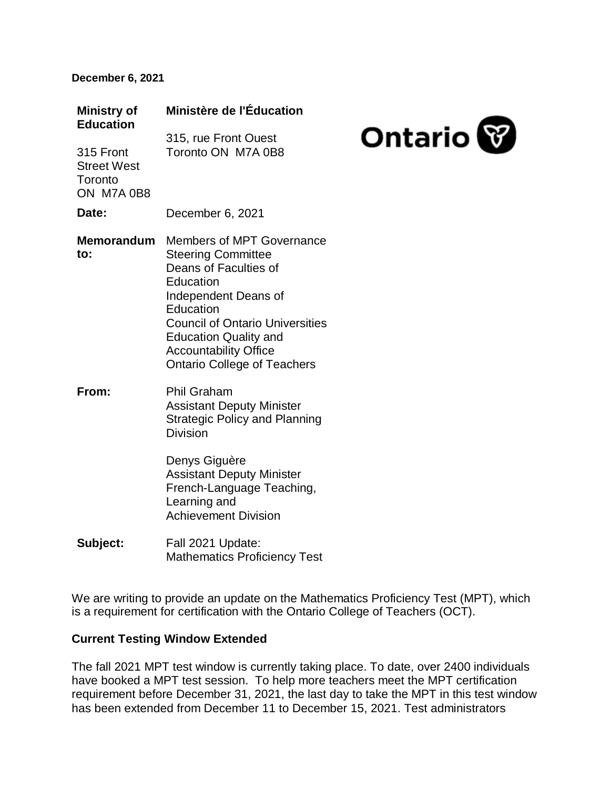#### **December 6, 2021**

| <b>Ministry of</b><br><b>Education</b>                   | Ministère de l'Éducation                                                                                                                                                                                                                                                          |                |
|----------------------------------------------------------|-----------------------------------------------------------------------------------------------------------------------------------------------------------------------------------------------------------------------------------------------------------------------------------|----------------|
| 315 Front<br><b>Street West</b><br>Toronto<br>ON M7A 0B8 | 315, rue Front Ouest<br>Toronto ON M7A 0B8                                                                                                                                                                                                                                        | <b>Ontario</b> |
| Date:                                                    | December 6, 2021                                                                                                                                                                                                                                                                  |                |
| <b>Memorandum</b><br>to:                                 | Members of MPT Governance<br><b>Steering Committee</b><br>Deans of Faculties of<br>Education<br>Independent Deans of<br>Education<br><b>Council of Ontario Universities</b><br><b>Education Quality and</b><br><b>Accountability Office</b><br><b>Ontario College of Teachers</b> |                |
| From:                                                    | <b>Phil Graham</b><br><b>Assistant Deputy Minister</b><br><b>Strategic Policy and Planning</b><br><b>Division</b><br>Denys Giguère<br><b>Assistant Deputy Minister</b><br>French-Language Teaching,<br>Learning and<br><b>Achievement Division</b>                                |                |
| Subject:                                                 | Fall 2021 Update:<br><b>Mathematics Proficiency Test</b>                                                                                                                                                                                                                          |                |

We are writing to provide an update on the Mathematics Proficiency Test (MPT), which is a requirement for certification with the Ontario College of Teachers (OCT).

# **Current Testing Window Extended**

The fall 2021 MPT test window is currently taking place. To date, over 2400 individuals have booked a MPT test session. To help more teachers meet the MPT certification requirement before December 31, 2021, the last day to take the MPT in this test window has been extended from December 11 to December 15, 2021. Test administrators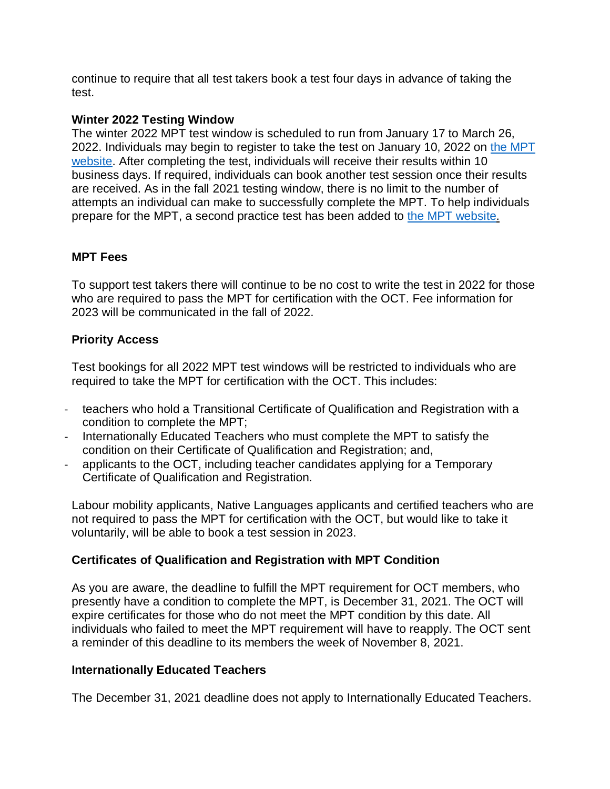continue to require that all test takers book a test four days in advance of taking the test.

## **Winter 2022 Testing Window**

The winter 2022 MPT test window is scheduled to run from January 17 to March 26, 2022. Individuals may begin to register to take the test on January 10, 2022 on [the MPT](https://mathproficiencytest.ca/)  [website.](https://mathproficiencytest.ca/) After completing the test, individuals will receive their results within 10 business days. If required, individuals can book another test session once their results are received. As in the fall 2021 testing window, there is no limit to the number of attempts an individual can make to successfully complete the MPT. To help individuals prepare for the MPT, a second practice test has been added to [the MPT website.](https://mathproficiencytest.ca/)

## **MPT Fees**

To support test takers there will continue to be no cost to write the test in 2022 for those who are required to pass the MPT for certification with the OCT. Fee information for 2023 will be communicated in the fall of 2022.

## **Priority Access**

Test bookings for all 2022 MPT test windows will be restricted to individuals who are required to take the MPT for certification with the OCT. This includes:

- teachers who hold a Transitional Certificate of Qualification and Registration with a condition to complete the MPT;
- Internationally Educated Teachers who must complete the MPT to satisfy the condition on their Certificate of Qualification and Registration; and,
- applicants to the OCT, including teacher candidates applying for a Temporary Certificate of Qualification and Registration.

Labour mobility applicants, Native Languages applicants and certified teachers who are not required to pass the MPT for certification with the OCT, but would like to take it voluntarily, will be able to book a test session in 2023.

#### **Certificates of Qualification and Registration with MPT Condition**

As you are aware, the deadline to fulfill the MPT requirement for OCT members, who presently have a condition to complete the MPT, is December 31, 2021. The OCT will expire certificates for those who do not meet the MPT condition by this date. All individuals who failed to meet the MPT requirement will have to reapply. The OCT sent a reminder of this deadline to its members the week of November 8, 2021.

## **Internationally Educated Teachers**

The December 31, 2021 deadline does not apply to Internationally Educated Teachers.